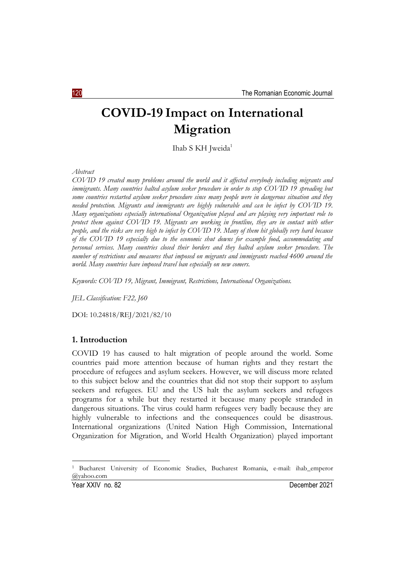# **COVID-19 Impact on International Migration**

Ihab S KH Jweida<sup>1</sup>

*Abstract*

*COVID 19 created many problems around the world and it affected everybody including migrants and immigrants. Many countries halted asylum seeker procedure in order to stop COVID 19 spreading but some countries restarted asylum seeker procedure since many people were in dangerous situation and they needed protection. Migrants and immigrants are highly vulnerable and can be infect by COVID 19. Many organizations especially international Organization played and are playing very important role to protect them against COVID 19. Migrants are working in frontline, they are in contact with other people, and the risks are very high to infect by COVID 19. Many of them hit globally very hard because of the COVID 19 especially due to the economic shut downs for example food, accommodating and personal services. Many countries closed their borders and they halted asylum seeker procedure. The number of restrictions and measures that imposed on migrants and immigrants reached 4600 around the world. Many countries have imposed travel ban especially on new comers.* 

*Keywords: COVID 19, Migrant, Immigrant, Restrictions, International Organizations.*

*JEL Classification: F22, J60*

DOI: 10.24818/REJ/2021/82/10

# **1. Introduction**

COVID 19 has caused to halt migration of people around the world. Some countries paid more attention because of human rights and they restart the procedure of refugees and asylum seekers. However, we will discuss more related to this subject below and the countries that did not stop their support to asylum seekers and refugees. EU and the US halt the asylum seekers and refugees programs for a while but they restarted it because many people stranded in dangerous situations. The virus could harm refugees very badly because they are highly vulnerable to infections and the consequences could be disastrous. International organizations (United Nation High Commission, International Organization for Migration, and World Health Organization) played important

1

<sup>1</sup> Bucharest University of Economic Studies, Bucharest Romania, e-mail: ihab\_emperor @yahoo.com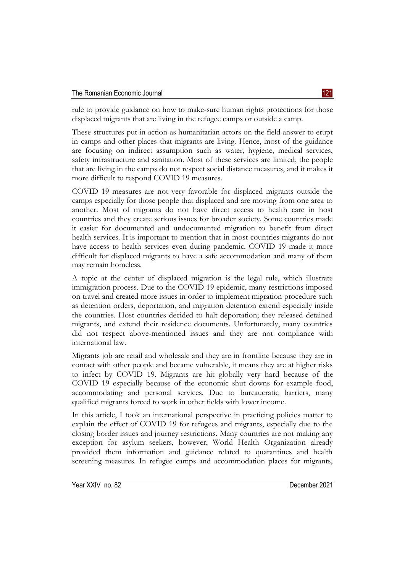rule to provide guidance on how to make-sure human rights protections for those displaced migrants that are living in the refugee camps or outside a camp.

These structures put in action as humanitarian actors on the field answer to erupt in camps and other places that migrants are living. Hence, most of the guidance are focusing on indirect assumption such as water, hygiene, medical services, safety infrastructure and sanitation. Most of these services are limited, the people that are living in the camps do not respect social distance measures, and it makes it more difficult to respond COVID 19 measures.

COVID 19 measures are not very favorable for displaced migrants outside the camps especially for those people that displaced and are moving from one area to another. Most of migrants do not have direct access to health care in host countries and they create serious issues for broader society. Some countries made it easier for documented and undocumented migration to benefit from direct health services. It is important to mention that in most countries migrants do not have access to health services even during pandemic. COVID 19 made it more difficult for displaced migrants to have a safe accommodation and many of them may remain homeless.

A topic at the center of displaced migration is the legal rule, which illustrate immigration process. Due to the COVID 19 epidemic, many restrictions imposed on travel and created more issues in order to implement migration procedure such as detention orders, deportation, and migration detention extend especially inside the countries. Host countries decided to halt deportation; they released detained migrants, and extend their residence documents. Unfortunately, many countries did not respect above-mentioned issues and they are not compliance with international law.

Migrants job are retail and wholesale and they are in frontline because they are in contact with other people and became vulnerable, it means they are at higher risks to infect by COVID 19. Migrants are hit globally very hard because of the COVID 19 especially because of the economic shut downs for example food, accommodating and personal services. Due to bureaucratic barriers, many qualified migrants forced to work in other fields with lower income.

In this article, I took an international perspective in practicing policies matter to explain the effect of COVID 19 for refugees and migrants, especially due to the closing border issues and journey restrictions. Many countries are not making any exception for asylum seekers, however, World Health Organization already provided them information and guidance related to quarantines and health screening measures. In refugee camps and accommodation places for migrants,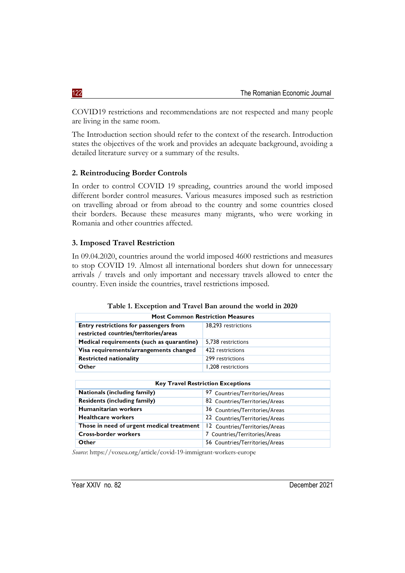COVID19 restrictions and recommendations are not respected and many people are living in the same room.

The Introduction section should refer to the context of the research. Introduction states the objectives of the work and provides an adequate background, avoiding a detailed literature survey or a summary of the results.

#### **2. Reintroducing Border Controls**

In order to control COVID 19 spreading, countries around the world imposed different border control measures. Various measures imposed such as restriction on travelling abroad or from abroad to the country and some countries closed their borders. Because these measures many migrants, who were working in Romania and other countries affected.

#### **3. Imposed Travel Restriction**

In 09.04.2020, countries around the world imposed 4600 restrictions and measures to stop COVID 19. Almost all international borders shut down for unnecessary arrivals / travels and only important and necessary travels allowed to enter the country. Even inside the countries, travel restrictions imposed.

|  |  | Table 1. Exception and Travel Ban around the world in 2020 |  |  |  |  |  |  |
|--|--|------------------------------------------------------------|--|--|--|--|--|--|
|--|--|------------------------------------------------------------|--|--|--|--|--|--|

| <b>Most Common Restriction Measures</b>                                          |                     |  |  |  |  |
|----------------------------------------------------------------------------------|---------------------|--|--|--|--|
| Entry restrictions for passengers from<br>restricted countries/territories/areas | 38,293 restrictions |  |  |  |  |
| Medical requirements (such as quarantine)                                        | 5.738 restrictions  |  |  |  |  |
| Visa requirements/arrangements changed                                           | 422 restrictions    |  |  |  |  |
| <b>Restricted nationality</b>                                                    | 299 restrictions    |  |  |  |  |
| Other                                                                            | 1,208 restrictions  |  |  |  |  |

| <b>Key Travel Restriction Exceptions</b>  |                                |  |  |  |  |
|-------------------------------------------|--------------------------------|--|--|--|--|
| <b>Nationals (including family)</b>       | 97 Countries/Territories/Areas |  |  |  |  |
| <b>Residents (including family)</b>       | 82 Countries/Territories/Areas |  |  |  |  |
| <b>Humanitarian workers</b>               | 36 Countries/Territories/Areas |  |  |  |  |
| <b>Healthcare workers</b>                 | 22 Countries/Territories/Areas |  |  |  |  |
| Those in need of urgent medical treatment | 12 Countries/Territories/Areas |  |  |  |  |
| <b>Cross-border workers</b>               | 7 Countries/Territories/Areas  |  |  |  |  |
| Other                                     | 56 Countries/Territories/Areas |  |  |  |  |

*Source*:<https://voxeu.org/article/covid-19-immigrant-workers-europe>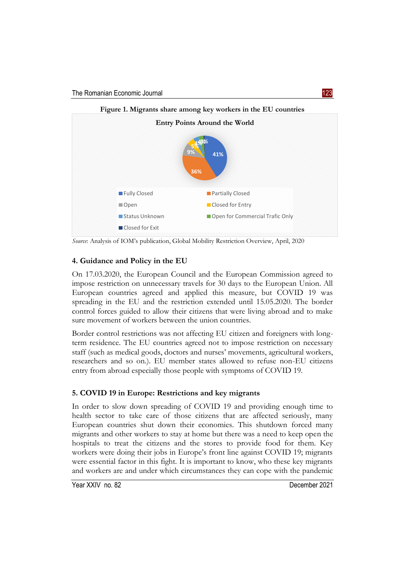

*Source*: Analysis of IOM's publication, Global Mobility Restriction Overview, April, 2020

# **4. Guidance and Policy in the EU**

On 17.03.2020, the European Council and the European Commission agreed to impose restriction on unnecessary travels for 30 days to the European Union. All European countries agreed and applied this measure, but COVID 19 was spreading in the EU and the restriction extended until 15.05.2020. The border control forces guided to allow their citizens that were living abroad and to make sure movement of workers between the union countries.

Border control restrictions was not affecting EU citizen and foreigners with longterm residence. The EU countries agreed not to impose restriction on necessary staff (such as medical goods, doctors and nurses' movements, agricultural workers, researchers and so on.). EU member states allowed to refuse non-EU citizens entry from abroad especially those people with symptoms of COVID 19.

# **5. COVID 19 in Europe: Restrictions and key migrants**

In order to slow down spreading of COVID 19 and providing enough time to health sector to take care of those citizens that are affected seriously, many European countries shut down their economies. This shutdown forced many migrants and other workers to stay at home but there was a need to keep open the hospitals to treat the citizens and the stores to provide food for them. Key workers were doing their jobs in Europe's front line against COVID 19; migrants were essential factor in this fight. It is important to know, who these key migrants and workers are and under which circumstances they can cope with the pandemic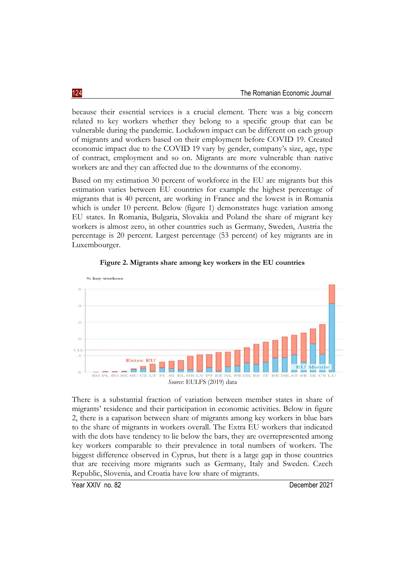because their essential services is a crucial element. There was a big concern related to key workers whether they belong to a specific group that can be vulnerable during the pandemic. Lockdown impact can be different on each group of migrants and workers based on their employment before COVID 19. Created economic impact due to the COVID 19 vary by gender, company's size, age, type of contract, employment and so on. Migrants are more vulnerable than native workers are and they can affected due to the downturns of the economy.

Based on my estimation 30 percent of workforce in the EU are migrants but this estimation varies between EU countries for example the highest percentage of migrants that is 40 percent, are working in France and the lowest is in Romania which is under 10 percent. Below (figure 1) demonstrates huge variation among EU states. In Romania, Bulgaria, Slovakia and Poland the share of migrant key workers is almost zero, in other countries such as Germany, Sweden, Austria the percentage is 20 percent. Largest percentage (53 percent) of key migrants are in Luxembourger.





There is a substantial fraction of variation between member states in share of migrants' residence and their participation in economic activities. Below in figure 2, there is a caparison between share of migrants among key workers in blue bars to the share of migrants in workers overall. The Extra EU workers that indicated with the dots have tendency to lie below the bars, they are overrepresented among key workers comparable to their prevalence in total numbers of workers. The biggest difference observed in Cyprus, but there is a large gap in those countries that are receiving more migrants such as Germany, Italy and Sweden. Czech Republic, Slovenia, and Croatia have low share of migrants.

Year XXIV no. 82 December 2021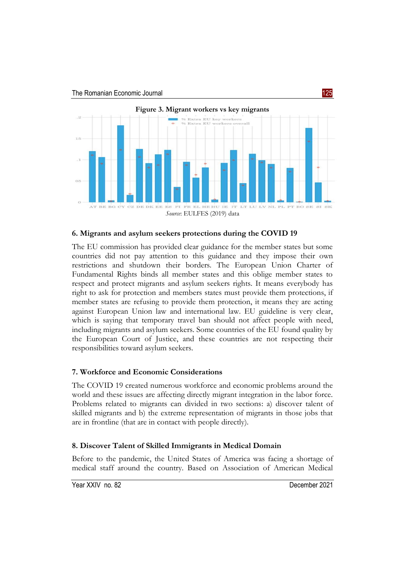

#### **6. Migrants and asylum seekers protections during the COVID 19**

The EU commission has provided clear guidance for the member states but some countries did not pay attention to this guidance and they impose their own restrictions and shutdown their borders. The European Union Charter of Fundamental Rights binds all member states and this oblige member states to respect and protect migrants and asylum seekers rights. It means everybody has right to ask for protection and members states must provide them protections, if member states are refusing to provide them protection, it means they are acting against European Union law and international law. EU guideline is very clear, which is saying that temporary travel ban should not affect people with need, including migrants and asylum seekers. Some countries of the EU found quality by the European Court of Justice, and these countries are not respecting their responsibilities toward asylum seekers.

# **7. Workforce and Economic Considerations**

The COVID 19 created numerous workforce and economic problems around the world and these issues are affecting directly migrant integration in the labor force. Problems related to migrants can divided in two sections: a) discover talent of skilled migrants and b) the extreme representation of migrants in those jobs that are in frontline (that are in contact with people directly).

# **8. Discover Talent of Skilled Immigrants in Medical Domain**

Before to the pandemic, the United States of America was facing a shortage of medical staff around the country. Based on Association of American Medical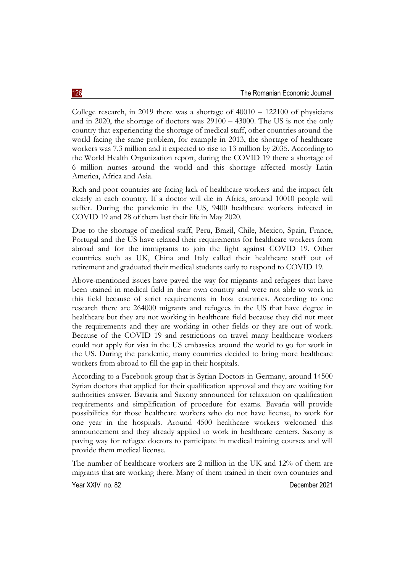College research, in 2019 there was a shortage of  $40010 - 122100$  of physicians and in 2020, the shortage of doctors was 29100 – 43000. The US is not the only country that experiencing the shortage of medical staff, other countries around the world facing the same problem, for example in 2013, the shortage of healthcare workers was 7.3 million and it expected to rise to 13 million by 2035. According to the World Health Organization report, during the COVID 19 there a shortage of 6 million nurses around the world and this shortage affected mostly Latin America, Africa and Asia.

Rich and poor countries are facing lack of healthcare workers and the impact felt clearly in each country. If a doctor will die in Africa, around 10010 people will suffer. During the pandemic in the US, 9400 healthcare workers infected in COVID 19 and 28 of them last their life in May 2020.

Due to the shortage of medical staff, Peru, Brazil, Chile, Mexico, Spain, France, Portugal and the US have relaxed their requirements for healthcare workers from abroad and for the immigrants to join the fight against COVID 19. Other countries such as UK, China and Italy called their healthcare staff out of retirement and graduated their medical students early to respond to COVID 19.

Above-mentioned issues have paved the way for migrants and refugees that have been trained in medical field in their own country and were not able to work in this field because of strict requirements in host countries. According to one research there are 264000 migrants and refugees in the US that have degree in healthcare but they are not working in healthcare field because they did not meet the requirements and they are working in other fields or they are out of work. Because of the COVID 19 and restrictions on travel many healthcare workers could not apply for visa in the US embassies around the world to go for work in the US. During the pandemic, many countries decided to bring more healthcare workers from abroad to fill the gap in their hospitals.

According to a Facebook group that is Syrian Doctors in Germany, around 14500 Syrian doctors that applied for their qualification approval and they are waiting for authorities answer. Bavaria and Saxony announced for relaxation on qualification requirements and simplification of procedure for exams. Bavaria will provide possibilities for those healthcare workers who do not have license, to work for one year in the hospitals. Around 4500 healthcare workers welcomed this announcement and they already applied to work in healthcare centers. Saxony is paving way for refugee doctors to participate in medical training courses and will provide them medical license.

The number of healthcare workers are 2 million in the UK and 12% of them are migrants that are working there. Many of them trained in their own countries and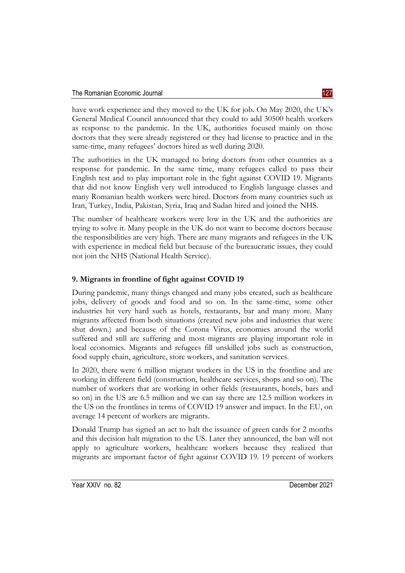have work experience and they moved to the UK for job. On May 2020, the UK's General Medical Council announced that they could to add 30500 health workers as response to the pandemic. In the UK, authorities focused mainly on those doctors that they were already registered or they had license to practice and in the same-time, many refugees' doctors hired as well during 2020.

The authorities in the UK managed to bring doctors from other countries as a response for pandemic. In the same time, many refugees called to pass their English test and to play important role in the fight against COVID 19. Migrants that did not know English very well introduced to English language classes and many Romanian health workers were hired. Doctors from many countries such as Iran, Turkey, India, Pakistan, Syria, Iraq and Sudan hired and joined the NHS.

The number of healthcare workers were low in the UK and the authorities are trying to solve it. Many people in the UK do not want to become doctors because the responsibilities are very high. There are many migrants and refugees in the UK with experience in medical field but because of the bureaucratic issues, they could not join the NHS (National Health Service).

# **9. Migrants in frontline of fight against COVID 19**

During pandemic, many things changed and many jobs created, such as healthcare jobs, delivery of goods and food and so on. In the same-time, some other industries hit very hard such as hotels, restaurants, bar and many more. Many migrants affected from both situations (created new jobs and industries that were shut down.) and because of the Corona Virus, economies around the world suffered and still are suffering and most migrants are playing important role in local economics. Migrants and refugees fill unskilled jobs such as construction, food supply chain, agriculture, store workers, and sanitation services.

In 2020, there were 6 million migrant workers in the US in the frontline and are working in different field (construction, healthcare services, shops and so on). The number of workers that are working in other fields (restaurants, hotels, bars and so on) in the US are 6.5 million and we can say there are 12.5 million workers in the US on the frontlines in terms of COVID 19 answer and impact. In the EU, on average 14 percent of workers are migrants.

Donald Trump has signed an act to halt the issuance of green cards for 2 months and this decision halt migration to the US. Later they announced, the ban will not apply to agriculture workers, healthcare workers because they realized that migrants are important factor of fight against COVID 19. 19 percent of workers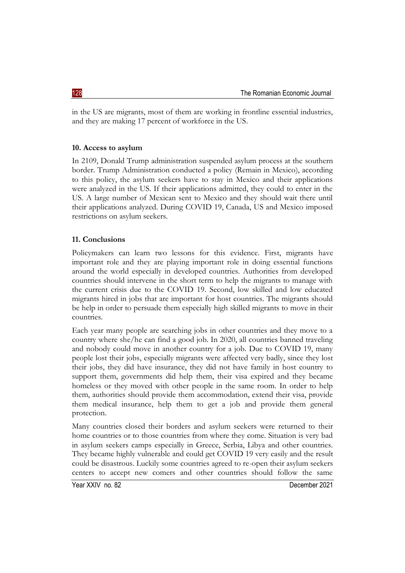in the US are migrants, most of them are working in frontline essential industries, and they are making 17 percent of workforce in the US.

#### **10. Access to asylum**

In 2109, Donald Trump administration suspended asylum process at the southern border. Trump Administration conducted a policy (Remain in Mexico), according to this policy, the asylum seekers have to stay in Mexico and their applications were analyzed in the US. If their applications admitted, they could to enter in the US. A large number of Mexican sent to Mexico and they should wait there until their applications analyzed. During COVID 19, Canada, US and Mexico imposed restrictions on asylum seekers.

#### **11. Conclusions**

Policymakers can learn two lessons for this evidence. First, migrants have important role and they are playing important role in doing essential functions around the world especially in developed countries. Authorities from developed countries should intervene in the short term to help the migrants to manage with the current crisis due to the COVID 19. Second, low skilled and low educated migrants hired in jobs that are important for host countries. The migrants should be help in order to persuade them especially high skilled migrants to move in their countries.

Each year many people are searching jobs in other countries and they move to a country where she/he can find a good job. In 2020, all countries banned traveling and nobody could move in another country for a job. Due to COVID 19, many people lost their jobs, especially migrants were affected very badly, since they lost their jobs, they did have insurance, they did not have family in host country to support them, governments did help them, their visa expired and they became homeless or they moved with other people in the same room. In order to help them, authorities should provide them accommodation, extend their visa, provide them medical insurance, help them to get a job and provide them general protection.

Many countries closed their borders and asylum seekers were returned to their home countries or to those countries from where they come. Situation is very bad in asylum seekers camps especially in Greece, Serbia, Libya and other countries. They became highly vulnerable and could get COVID 19 very easily and the result could be disastrous. Luckily some countries agreed to re-open their asylum seekers centers to accept new comers and other countries should follow the same

Year XXIV no. 82 December 2021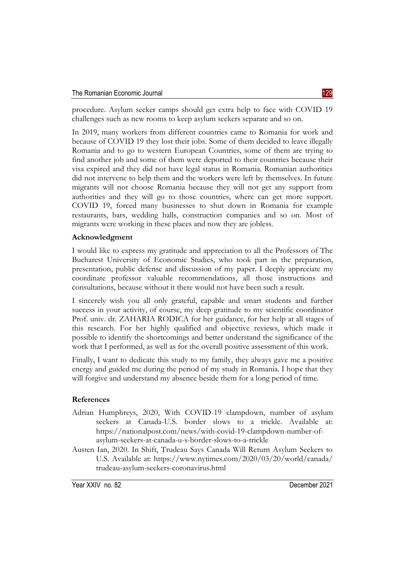procedure. Asylum seeker camps should get extra help to face with COVID 19 challenges such as new rooms to keep asylum seekers separate and so on.

In 2019, many workers from different countries came to Romania for work and because of COVID 19 they lost their jobs. Some of them decided to leave illegally Romania and to go to western European Countries, some of them are trying to find another job and some of them were deported to their countries because their visa expired and they did not have legal status in Romania. Romanian authorities did not intervene to help them and the workers were left by themselves. In future migrants will not choose Romania because they will not get any support from authorities and they will go to those countries, where can get more support. COVID 19, forced many businesses to shut down in Romania for example restaurants, bars, wedding halls, construction companies and so on. Most of migrants were working in these places and now they are jobless.

# **Acknowledgment**

I would like to express my gratitude and appreciation to all the Professors of The Bucharest University of Economic Studies, who took part in the preparation, presentation, public defense and discussion of my paper. I deeply appreciate my coordinate professor valuable recommendations, all those instructions and consultations, because without it there would not have been such a result.

I sincerely wish you all only grateful, capable and smart students and further success in your activity, of course, my deep gratitude to my scientific coordinator Prof. univ. dr. ZAHARIA RODICA for her guidance, for her help at all stages of this research. For her highly qualified and objective reviews, which made it possible to identify the shortcomings and better understand the significance of the work that I performed, as well as for the overall positive assessment of this work.

Finally, I want to dedicate this study to my family, they always gave me a positive energy and guided me during the period of my study in Romania. I hope that they will forgive and understand my absence beside them for a long period of time.

# **References**

- Adrian Humphreys, 2020, With COVID-19 clampdown, number of asylum seekers at Canada-U.S. border slows to a trickle. Available at: [https://nationalpost.com/news/with-covid-19-clampdown-number-of](https://nationalpost.com/news/with-covid-19-clampdown-number-of-asylum-seekers-at-canada-u-s-border-slows-to-a-trickle)[asylum-seekers-at-canada-u-s-border-slows-to-a-trickle](https://nationalpost.com/news/with-covid-19-clampdown-number-of-asylum-seekers-at-canada-u-s-border-slows-to-a-trickle)
- Austen Ian, 2020. In Shift, Trudeau Says Canada Will Return Asylum Seekers to U.S. Available at: [https://www.nytimes.com/2020/03/20/world/canada/](https://www.nytimes.com/2020/03/20/world/canada/trudeau-asylum-seekers-coronavirus.html) [trudeau-asylum-seekers-coronavirus.html](https://www.nytimes.com/2020/03/20/world/canada/trudeau-asylum-seekers-coronavirus.html)

Year XXIV no. 82 December 2021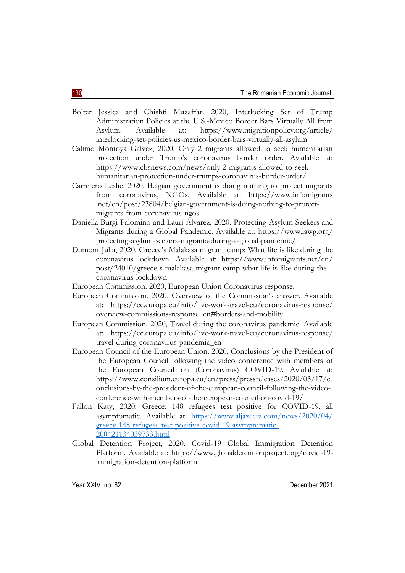- Bolter Jessica and Chishti Muzaffar. 2020, Interlocking Set of Trump Administration Policies at the U.S.-Mexico Border Bars Virtually All from Asylum. Available at: [https://www.migrationpolicy.org/article/](https://www.migrationpolicy.org/article/interlocking-set-policies-us-mexico-border-bars-virtually-all-asylum) [interlocking-set-policies-us-mexico-border-bars-virtually-all-asylum](https://www.migrationpolicy.org/article/interlocking-set-policies-us-mexico-border-bars-virtually-all-asylum)
- Calimo Montoya Galvez, 2020. Only 2 migrants allowed to seek humanitarian protection under Trump's coronavirus border order. Available at: [https://www.cbsnews.com/news/only-2-migrants-allowed-to-seek](https://www.cbsnews.com/news/only-2-migrants-allowed-to-seek-humanitarian-protection-under-trumps-coronavirus-border-order/)[humanitarian-protection-under-trumps-coronavirus-border-order/](https://www.cbsnews.com/news/only-2-migrants-allowed-to-seek-humanitarian-protection-under-trumps-coronavirus-border-order/)
- Carretero Leslie, 2020. Belgian government is doing nothing to protect migrants from coronavirus, NGOs. Available at: https://www.infomigrants .net/en/post/23804/belgian-government-is-doing-nothing-to-protectmigrants-from-coronavirus-ngos
- Daniella Burgi Palomino and Lauri Alvarez, 2020. Protecting Asylum Seekers and Migrants during a Global Pandemic. Available at: [https://www.lawg.org/](https://www.lawg.org/protecting-asylum-seekers-migrants-during-a-global-pandemic/) [protecting-asylum-seekers-migrants-during-a-global-pandemic/](https://www.lawg.org/protecting-asylum-seekers-migrants-during-a-global-pandemic/)
- Dumont Julia, 2020. Greece's Malakasa migrant camp: What life is like during the coronavirus lockdown. Available at: [https://www.infomigrants.net/en/](https://www.infomigrants.net/en/post/24010/greece-s-malakasa-migrant-camp-what-life-is-like-during-the-coronavirus-lockdown) [post/24010/greece-s-malakasa-migrant-camp-what-life-is-like-during-the](https://www.infomigrants.net/en/post/24010/greece-s-malakasa-migrant-camp-what-life-is-like-during-the-coronavirus-lockdown)[coronavirus-lockdown](https://www.infomigrants.net/en/post/24010/greece-s-malakasa-migrant-camp-what-life-is-like-during-the-coronavirus-lockdown)
- European Commission. 2020, European Union Coronavirus response.
- European Commission. 2020, Overview of the Commission's answer. Available at: [https://ec.europa.eu/info/live-work-travel-eu/coronavirus-response/](https://ec.europa.eu/info/live-work-travel-eu/coronavirus-response/overview-commissions-response_en#borders-and-mobility) [overview-commissions-response\\_en#borders-and-mobility](https://ec.europa.eu/info/live-work-travel-eu/coronavirus-response/overview-commissions-response_en#borders-and-mobility)
- European Commission. 2020, Travel during the coronavirus pandemic. Available at: [https://ec.europa.eu/info/live-work-travel-eu/coronavirus-response/](https://ec.europa.eu/info/live-work-travel-eu/coronavirus-response/travel-during-coronavirus-pandemic_en) [travel-during-coronavirus-pandemic\\_en](https://ec.europa.eu/info/live-work-travel-eu/coronavirus-response/travel-during-coronavirus-pandemic_en)
- European Council of the European Union. 2020, Conclusions by the President of the European Council following the video conference with members of the European Council on (Coronavirus) COVID-19. Available at: [https://www.consilium.europa.eu/en/press/pressreleases/2020/03/17/c](https://www.consilium.europa.eu/en/press/press-releases/2020/03/17/conclusions-by-the-president-of-the-european-council-following-the-video-conference-with-members-of-the-european-council-on-covid-19/) [onclusions-by-the-president-of-the-european-council-following-the-video](https://www.consilium.europa.eu/en/press/press-releases/2020/03/17/conclusions-by-the-president-of-the-european-council-following-the-video-conference-with-members-of-the-european-council-on-covid-19/)[conference-with-members-of-the-european-council-on-covid-19/](https://www.consilium.europa.eu/en/press/press-releases/2020/03/17/conclusions-by-the-president-of-the-european-council-following-the-video-conference-with-members-of-the-european-council-on-covid-19/)
- Fallon Katy, 2020. Greece: 148 refugees test positive for COVID-19, all asymptomatic. Available at: [https://www.aljazeera.com/news/2020/04/](https://www.aljazeera.com/news/2020/04/%0bgreece-148-refugees-test-positive-covid-19-asymptomatic-200421134039733.html) [greece-148-refugees-test-positive-covid-19-asymptomatic-](https://www.aljazeera.com/news/2020/04/%0bgreece-148-refugees-test-positive-covid-19-asymptomatic-200421134039733.html)[200421134039733.html](https://www.aljazeera.com/news/2020/04/%0bgreece-148-refugees-test-positive-covid-19-asymptomatic-200421134039733.html)
- Global Detention Project, 2020. Covid-19 Global Immigration Detention Platform. Available at: [https://www.globaldetentionproject.org/covid-19](https://www.globaldetentionproject.org/covid-19-immigration-detention-platform) [immigration-detention-platform](https://www.globaldetentionproject.org/covid-19-immigration-detention-platform)